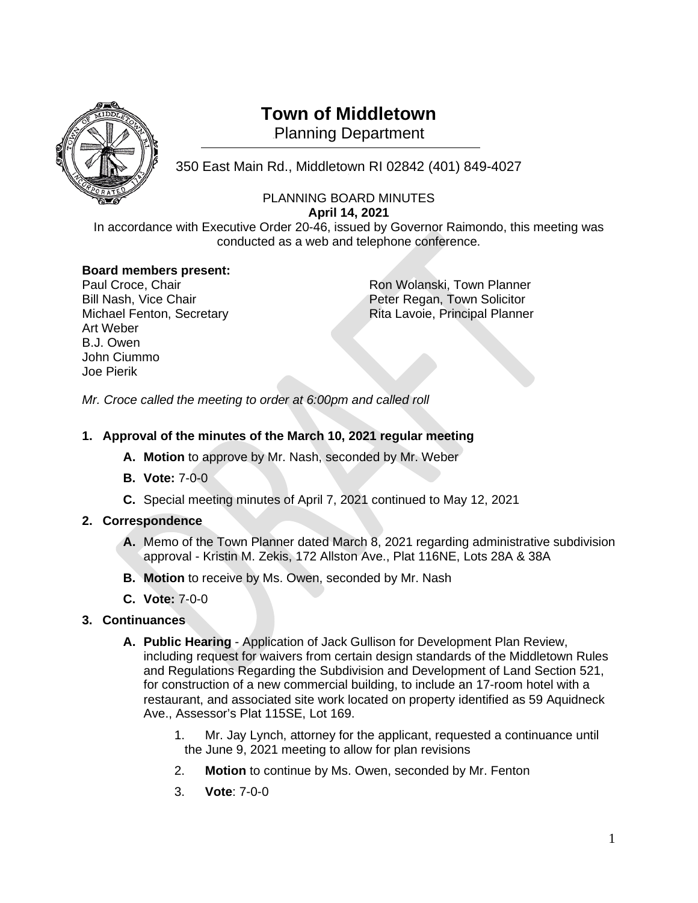

# **Town of Middletown**

Planning Department

350 East Main Rd., Middletown RI 02842 (401) 849-4027 <sup>1</sup>

### PLANNING BOARD MINUTES **April 14, 2021**

In accordance with Executive Order 20-46, issued by Governor Raimondo, this meeting was conducted as a web and telephone conference.

# **Board members present:**

Art Weber B.J. Owen John Ciummo Joe Pierik

Ron Wolanski, Town Planner Bill Nash, Vice Chair **Peter Regan, Town Solicitor** Peter Regan, Town Solicitor Michael Fenton, Secretary **Rita Lavoie, Principal Planner** 

*Mr. Croce called the meeting to order at 6:00pm and called roll*

# **1. Approval of the minutes of the March 10, 2021 regular meeting**

- **A. Motion** to approve by Mr. Nash, seconded by Mr. Weber
- **B. Vote:** 7-0-0
- **C.** Special meeting minutes of April 7, 2021 continued to May 12, 2021

# **2. Correspondence**

- **A.** Memo of the Town Planner dated March 8, 2021 regarding administrative subdivision approval - Kristin M. Zekis, 172 Allston Ave., Plat 116NE, Lots 28A & 38A
- **B. Motion** to receive by Ms. Owen, seconded by Mr. Nash
- **C. Vote:** 7-0-0
- **3. Continuances**
	- **A. Public Hearing** Application of Jack Gullison for Development Plan Review, including request for waivers from certain design standards of the Middletown Rules and Regulations Regarding the Subdivision and Development of Land Section 521, for construction of a new commercial building, to include an 17-room hotel with a restaurant, and associated site work located on property identified as 59 Aquidneck Ave., Assessor's Plat 115SE, Lot 169.
		- 1. Mr. Jay Lynch, attorney for the applicant, requested a continuance until the June 9, 2021 meeting to allow for plan revisions
		- 2. **Motion** to continue by Ms. Owen, seconded by Mr. Fenton
		- 3. **Vote**: 7-0-0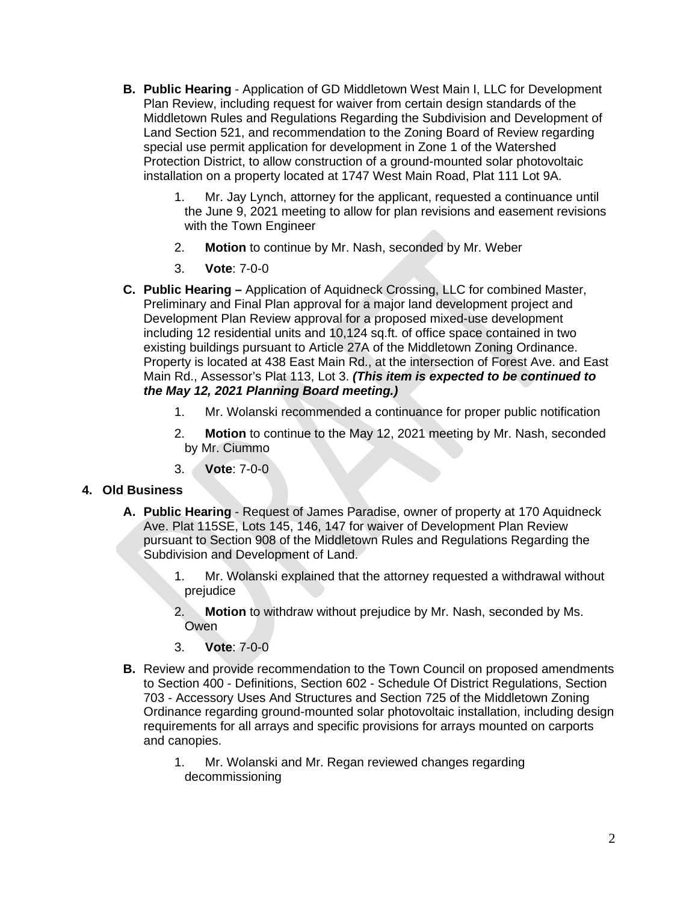- **B. Public Hearing** Application of GD Middletown West Main I, LLC for Development Plan Review, including request for waiver from certain design standards of the Middletown Rules and Regulations Regarding the Subdivision and Development of Land Section 521, and recommendation to the Zoning Board of Review regarding special use permit application for development in Zone 1 of the Watershed Protection District, to allow construction of a ground-mounted solar photovoltaic installation on a property located at 1747 West Main Road, Plat 111 Lot 9A.
	- 1. Mr. Jay Lynch, attorney for the applicant, requested a continuance until the June 9, 2021 meeting to allow for plan revisions and easement revisions with the Town Engineer
	- 2. **Motion** to continue by Mr. Nash, seconded by Mr. Weber
	- 3. **Vote**: 7-0-0
- **C. Public Hearing –** Application of Aquidneck Crossing, LLC for combined Master, Preliminary and Final Plan approval for a major land development project and Development Plan Review approval for a proposed mixed-use development including 12 residential units and 10,124 sq.ft. of office space contained in two existing buildings pursuant to Article 27A of the Middletown Zoning Ordinance. Property is located at 438 East Main Rd., at the intersection of Forest Ave. and East Main Rd., Assessor's Plat 113, Lot 3. *(This item is expected to be continued to the May 12, 2021 Planning Board meeting.)*
	- 1. Mr. Wolanski recommended a continuance for proper public notification
	- 2. **Motion** to continue to the May 12, 2021 meeting by Mr. Nash, seconded by Mr. Ciummo
	- 3. **Vote**: 7-0-0

#### **4. Old Business**

- **A. Public Hearing** Request of James Paradise, owner of property at 170 Aquidneck Ave. Plat 115SE, Lots 145, 146, 147 for waiver of Development Plan Review pursuant to Section 908 of the Middletown Rules and Regulations Regarding the Subdivision and Development of Land.
	- 1. Mr. Wolanski explained that the attorney requested a withdrawal without prejudice
	- 2. **Motion** to withdraw without prejudice by Mr. Nash, seconded by Ms. Owen
	- 3. **Vote**: 7-0-0
- **B.** Review and provide recommendation to the Town Council on proposed amendments to Section 400 - Definitions, Section 602 - Schedule Of District Regulations, Section 703 - Accessory Uses And Structures and Section 725 of the Middletown Zoning Ordinance regarding ground-mounted solar photovoltaic installation, including design requirements for all arrays and specific provisions for arrays mounted on carports and canopies.
	- 1. Mr. Wolanski and Mr. Regan reviewed changes regarding decommissioning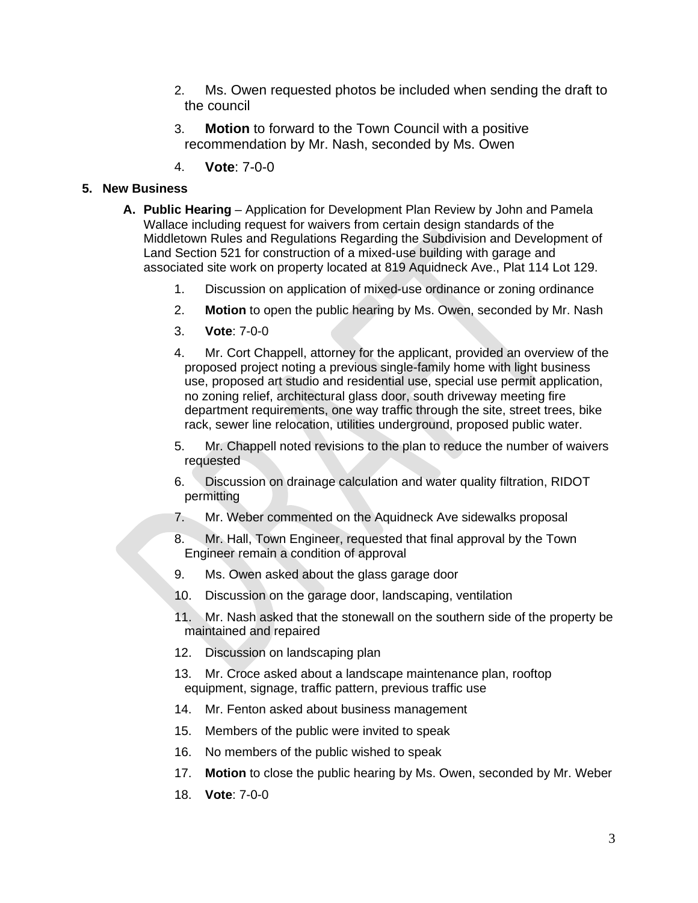- 2. Ms. Owen requested photos be included when sending the draft to the council
- 3. **Motion** to forward to the Town Council with a positive recommendation by Mr. Nash, seconded by Ms. Owen
- 4. **Vote**: 7-0-0

#### **5. New Business**

- **A. Public Hearing** Application for Development Plan Review by John and Pamela Wallace including request for waivers from certain design standards of the Middletown Rules and Regulations Regarding the Subdivision and Development of Land Section 521 for construction of a mixed-use building with garage and associated site work on property located at 819 Aquidneck Ave., Plat 114 Lot 129.
	- 1. Discussion on application of mixed-use ordinance or zoning ordinance
	- 2. **Motion** to open the public hearing by Ms. Owen, seconded by Mr. Nash
	- 3. **Vote**: 7-0-0
	- 4. Mr. Cort Chappell, attorney for the applicant, provided an overview of the proposed project noting a previous single-family home with light business use, proposed art studio and residential use, special use permit application, no zoning relief, architectural glass door, south driveway meeting fire department requirements, one way traffic through the site, street trees, bike rack, sewer line relocation, utilities underground, proposed public water.
	- 5. Mr. Chappell noted revisions to the plan to reduce the number of waivers requested
	- 6. Discussion on drainage calculation and water quality filtration, RIDOT permitting
	- 7. Mr. Weber commented on the Aquidneck Ave sidewalks proposal
	- 8. Mr. Hall, Town Engineer, requested that final approval by the Town Engineer remain a condition of approval
	- 9. Ms. Owen asked about the glass garage door
	- 10. Discussion on the garage door, landscaping, ventilation
	- 11. Mr. Nash asked that the stonewall on the southern side of the property be maintained and repaired
	- 12. Discussion on landscaping plan
	- 13. Mr. Croce asked about a landscape maintenance plan, rooftop equipment, signage, traffic pattern, previous traffic use
	- 14. Mr. Fenton asked about business management
	- 15. Members of the public were invited to speak
	- 16. No members of the public wished to speak
	- 17. **Motion** to close the public hearing by Ms. Owen, seconded by Mr. Weber
	- 18. **Vote**: 7-0-0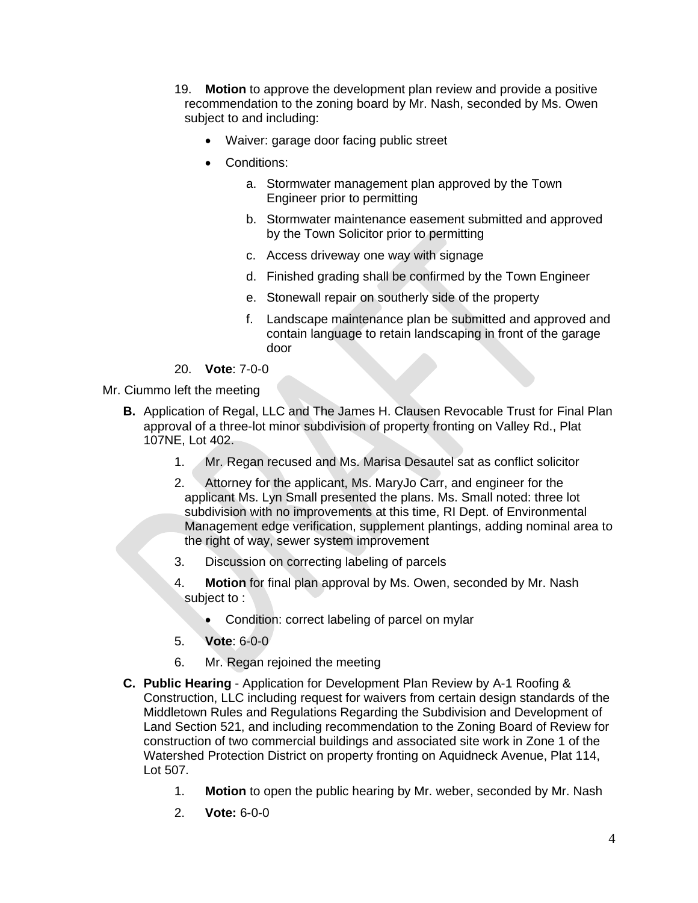- 19. **Motion** to approve the development plan review and provide a positive recommendation to the zoning board by Mr. Nash, seconded by Ms. Owen subject to and including:
	- Waiver: garage door facing public street
	- Conditions:
		- a. Stormwater management plan approved by the Town Engineer prior to permitting
		- b. Stormwater maintenance easement submitted and approved by the Town Solicitor prior to permitting
		- c. Access driveway one way with signage
		- d. Finished grading shall be confirmed by the Town Engineer
		- e. Stonewall repair on southerly side of the property
		- f. Landscape maintenance plan be submitted and approved and contain language to retain landscaping in front of the garage door
- 20. **Vote**: 7-0-0
- Mr. Ciummo left the meeting
	- **B.** Application of Regal, LLC and The James H. Clausen Revocable Trust for Final Plan approval of a three-lot minor subdivision of property fronting on Valley Rd., Plat 107NE, Lot 402.
		- 1. Mr. Regan recused and Ms. Marisa Desautel sat as conflict solicitor
		- 2. Attorney for the applicant, Ms. MaryJo Carr, and engineer for the applicant Ms. Lyn Small presented the plans. Ms. Small noted: three lot subdivision with no improvements at this time, RI Dept. of Environmental Management edge verification, supplement plantings, adding nominal area to the right of way, sewer system improvement
		- 3. Discussion on correcting labeling of parcels
		- 4. **Motion** for final plan approval by Ms. Owen, seconded by Mr. Nash subject to :
			- Condition: correct labeling of parcel on mylar
		- 5. **Vote**: 6-0-0
		- 6. Mr. Regan rejoined the meeting
	- **C. Public Hearing** Application for Development Plan Review by A-1 Roofing & Construction, LLC including request for waivers from certain design standards of the Middletown Rules and Regulations Regarding the Subdivision and Development of Land Section 521, and including recommendation to the Zoning Board of Review for construction of two commercial buildings and associated site work in Zone 1 of the Watershed Protection District on property fronting on Aquidneck Avenue, Plat 114, Lot 507.
		- 1. **Motion** to open the public hearing by Mr. weber, seconded by Mr. Nash
		- 2. **Vote:** 6-0-0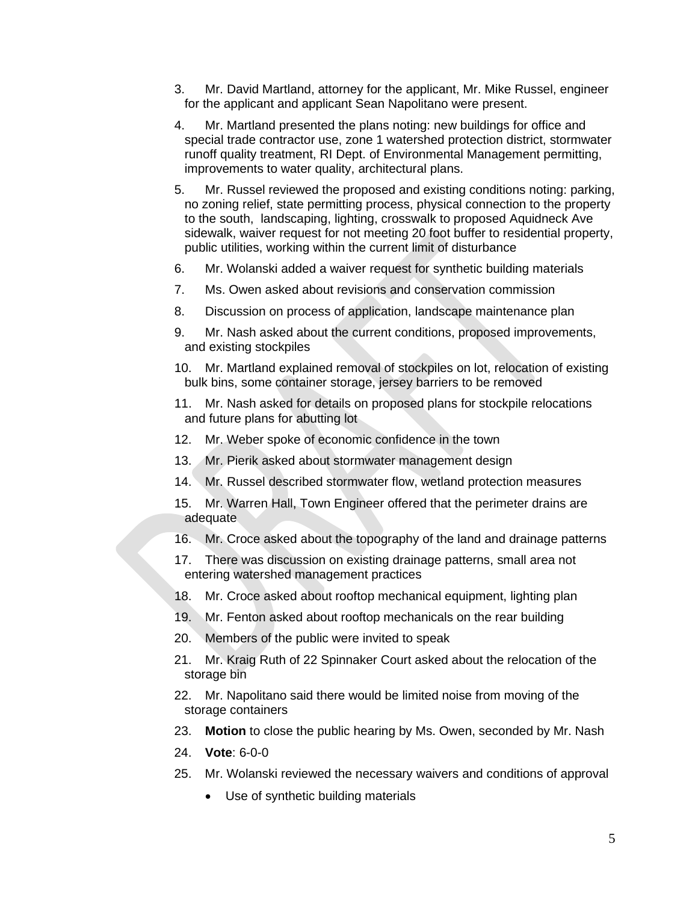- 3. Mr. David Martland, attorney for the applicant, Mr. Mike Russel, engineer for the applicant and applicant Sean Napolitano were present.
- 4. Mr. Martland presented the plans noting: new buildings for office and special trade contractor use, zone 1 watershed protection district, stormwater runoff quality treatment, RI Dept. of Environmental Management permitting, improvements to water quality, architectural plans.
- 5. Mr. Russel reviewed the proposed and existing conditions noting: parking, no zoning relief, state permitting process, physical connection to the property to the south, landscaping, lighting, crosswalk to proposed Aquidneck Ave sidewalk, waiver request for not meeting 20 foot buffer to residential property, public utilities, working within the current limit of disturbance
- 6. Mr. Wolanski added a waiver request for synthetic building materials
- 7. Ms. Owen asked about revisions and conservation commission
- 8. Discussion on process of application, landscape maintenance plan
- 9. Mr. Nash asked about the current conditions, proposed improvements, and existing stockpiles
- 10. Mr. Martland explained removal of stockpiles on lot, relocation of existing bulk bins, some container storage, jersey barriers to be removed
- 11. Mr. Nash asked for details on proposed plans for stockpile relocations and future plans for abutting lot
- 12. Mr. Weber spoke of economic confidence in the town
- 13. Mr. Pierik asked about stormwater management design
- 14. Mr. Russel described stormwater flow, wetland protection measures
- 15. Mr. Warren Hall, Town Engineer offered that the perimeter drains are adequate
- 16. Mr. Croce asked about the topography of the land and drainage patterns
- 17. There was discussion on existing drainage patterns, small area not entering watershed management practices
- 18. Mr. Croce asked about rooftop mechanical equipment, lighting plan
- 19. Mr. Fenton asked about rooftop mechanicals on the rear building
- 20. Members of the public were invited to speak
- 21. Mr. Kraig Ruth of 22 Spinnaker Court asked about the relocation of the storage bin
- 22. Mr. Napolitano said there would be limited noise from moving of the storage containers
- 23. **Motion** to close the public hearing by Ms. Owen, seconded by Mr. Nash
- 24. **Vote**: 6-0-0
- 25. Mr. Wolanski reviewed the necessary waivers and conditions of approval
	- Use of synthetic building materials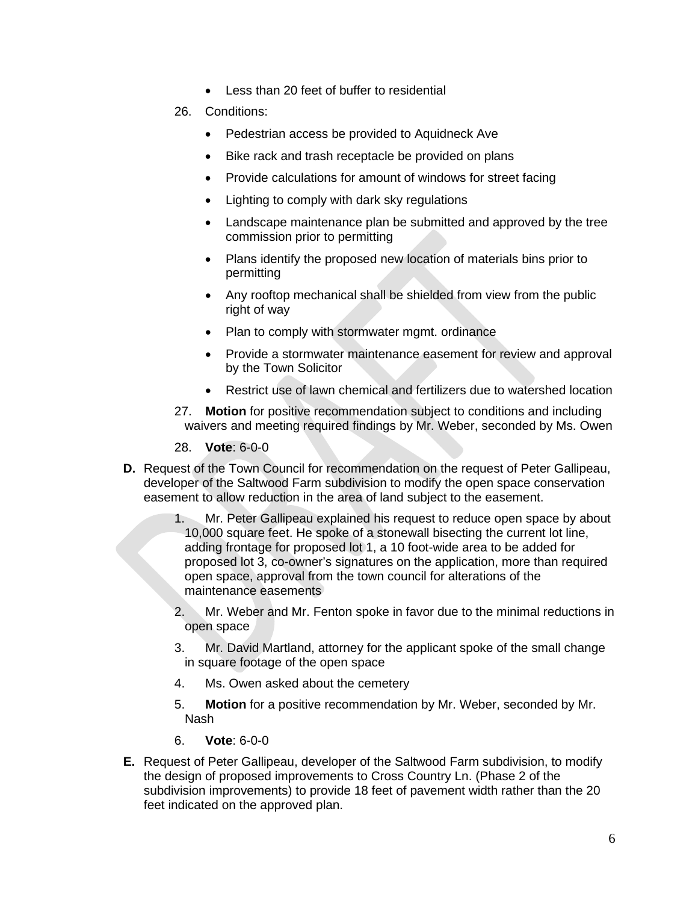- Less than 20 feet of buffer to residential
- 26. Conditions:
	- Pedestrian access be provided to Aquidneck Ave
	- Bike rack and trash receptacle be provided on plans
	- Provide calculations for amount of windows for street facing
	- Lighting to comply with dark sky regulations
	- Landscape maintenance plan be submitted and approved by the tree commission prior to permitting
	- Plans identify the proposed new location of materials bins prior to permitting
	- Any rooftop mechanical shall be shielded from view from the public right of way
	- Plan to comply with stormwater mgmt. ordinance
	- Provide a stormwater maintenance easement for review and approval by the Town Solicitor
	- Restrict use of lawn chemical and fertilizers due to watershed location
- 27. **Motion** for positive recommendation subject to conditions and including waivers and meeting required findings by Mr. Weber, seconded by Ms. Owen
- 28. **Vote**: 6-0-0
- **D.** Request of the Town Council for recommendation on the request of Peter Gallipeau, developer of the Saltwood Farm subdivision to modify the open space conservation easement to allow reduction in the area of land subject to the easement.
	- 1. Mr. Peter Gallipeau explained his request to reduce open space by about 10,000 square feet. He spoke of a stonewall bisecting the current lot line, adding frontage for proposed lot 1, a 10 foot-wide area to be added for proposed lot 3, co-owner's signatures on the application, more than required open space, approval from the town council for alterations of the maintenance easements
	- 2. Mr. Weber and Mr. Fenton spoke in favor due to the minimal reductions in open space
	- 3. Mr. David Martland, attorney for the applicant spoke of the small change in square footage of the open space
	- 4. Ms. Owen asked about the cemetery
	- 5. **Motion** for a positive recommendation by Mr. Weber, seconded by Mr. Nash
	- 6. **Vote**: 6-0-0
- **E.** Request of Peter Gallipeau, developer of the Saltwood Farm subdivision, to modify the design of proposed improvements to Cross Country Ln. (Phase 2 of the subdivision improvements) to provide 18 feet of pavement width rather than the 20 feet indicated on the approved plan.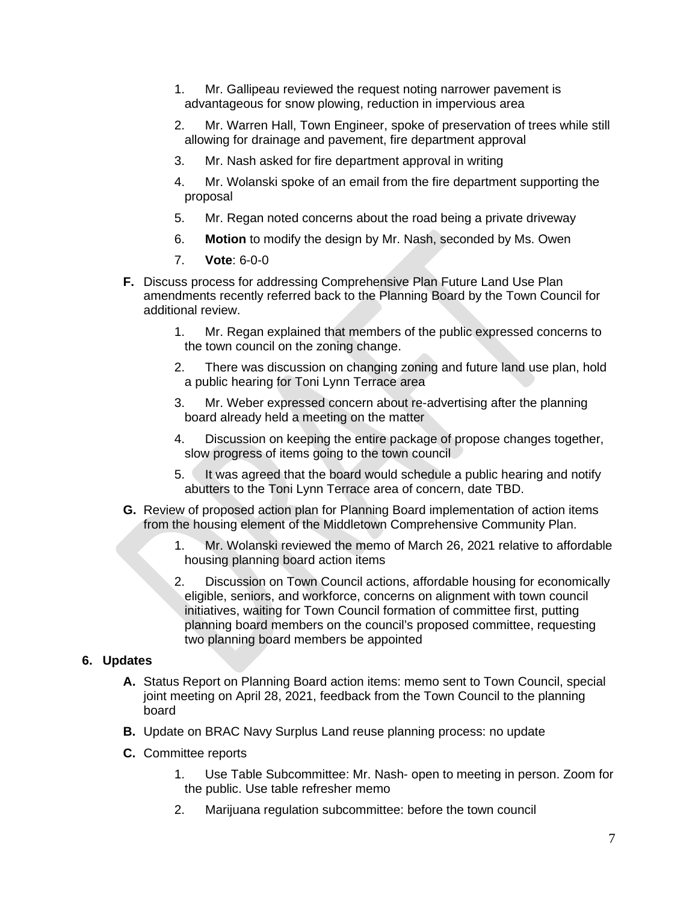- 1. Mr. Gallipeau reviewed the request noting narrower pavement is advantageous for snow plowing, reduction in impervious area
- 2. Mr. Warren Hall, Town Engineer, spoke of preservation of trees while still allowing for drainage and pavement, fire department approval
- 3. Mr. Nash asked for fire department approval in writing
- 4. Mr. Wolanski spoke of an email from the fire department supporting the proposal
- 5. Mr. Regan noted concerns about the road being a private driveway
- 6. **Motion** to modify the design by Mr. Nash, seconded by Ms. Owen
- 7. **Vote**: 6-0-0
- **F.** Discuss process for addressing Comprehensive Plan Future Land Use Plan amendments recently referred back to the Planning Board by the Town Council for additional review.
	- 1. Mr. Regan explained that members of the public expressed concerns to the town council on the zoning change.
	- 2. There was discussion on changing zoning and future land use plan, hold a public hearing for Toni Lynn Terrace area
	- 3. Mr. Weber expressed concern about re-advertising after the planning board already held a meeting on the matter
	- 4. Discussion on keeping the entire package of propose changes together, slow progress of items going to the town council
	- 5. It was agreed that the board would schedule a public hearing and notify abutters to the Toni Lynn Terrace area of concern, date TBD.
- **G.** Review of proposed action plan for Planning Board implementation of action items from the housing element of the Middletown Comprehensive Community Plan.
	- 1. Mr. Wolanski reviewed the memo of March 26, 2021 relative to affordable housing planning board action items
	- 2. Discussion on Town Council actions, affordable housing for economically eligible, seniors, and workforce, concerns on alignment with town council initiatives, waiting for Town Council formation of committee first, putting planning board members on the council's proposed committee, requesting two planning board members be appointed

#### **6. Updates**

- **A.** Status Report on Planning Board action items: memo sent to Town Council, special joint meeting on April 28, 2021, feedback from the Town Council to the planning board
- **B.** Update on BRAC Navy Surplus Land reuse planning process: no update
- **C.** Committee reports
	- 1. Use Table Subcommittee: Mr. Nash- open to meeting in person. Zoom for the public. Use table refresher memo
	- 2. Marijuana regulation subcommittee: before the town council